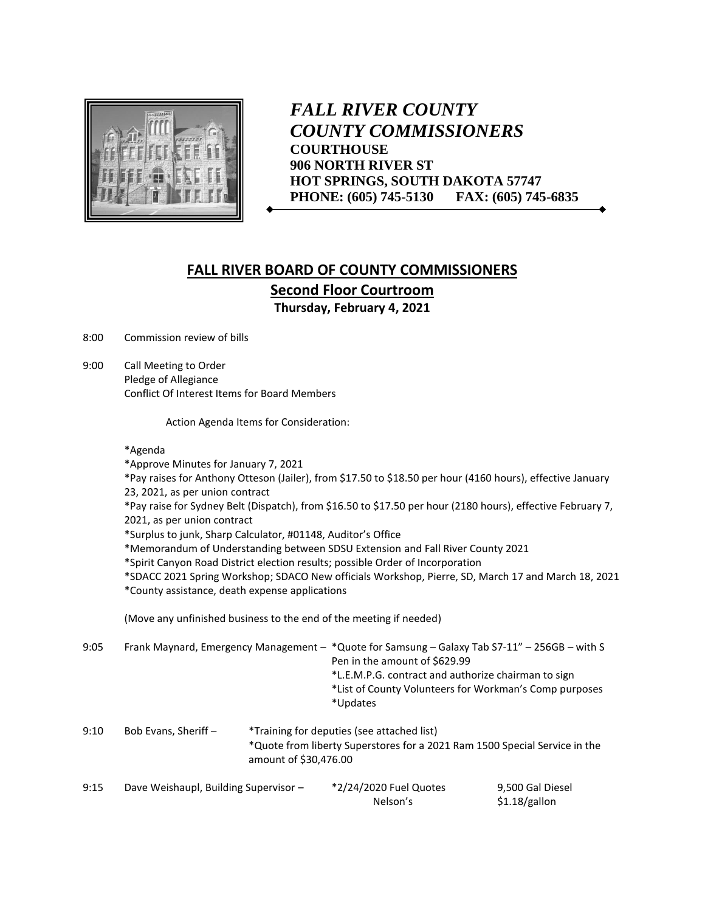

*FALL RIVER COUNTY COUNTY COMMISSIONERS* **COURTHOUSE 906 NORTH RIVER ST HOT SPRINGS, SOUTH DAKOTA 57747 PHONE: (605) 745-5130 FAX: (605) 745-6835**

## **FALL RIVER BOARD OF COUNTY COMMISSIONERS Second Floor Courtroom Thursday, February 4, 2021**

8:00 Commission review of bills

9:00 Call Meeting to Order Pledge of Allegiance Conflict Of Interest Items for Board Members

Action Agenda Items for Consideration:

## \*Agenda

\*Approve Minutes for January 7, 2021 \*Pay raises for Anthony Otteson (Jailer), from \$17.50 to \$18.50 per hour (4160 hours), effective January 23, 2021, as per union contract \*Pay raise for Sydney Belt (Dispatch), from \$16.50 to \$17.50 per hour (2180 hours), effective February 7, 2021, as per union contract \*Surplus to junk, Sharp Calculator, #01148, Auditor's Office \*Memorandum of Understanding between SDSU Extension and Fall River County 2021 \*Spirit Canyon Road District election results; possible Order of Incorporation \*SDACC 2021 Spring Workshop; SDACO New officials Workshop, Pierre, SD, March 17 and March 18, 2021 \*County assistance, death expense applications (Move any unfinished business to the end of the meeting if needed) 9:05 Frank Maynard, Emergency Management – \*Quote for Samsung – Galaxy Tab S7-11" – 256GB – with S

| 9:05 |                      |                       | Frank Maynard, Emergency Management – *Quote for Samsung – Galaxy Tab S7-11" – 256GB – with S<br>Pen in the amount of \$629.99<br>*L.E.M.P.G. contract and authorize chairman to sign<br>*List of County Volunteers for Workman's Comp purposes<br>*Updates |
|------|----------------------|-----------------------|-------------------------------------------------------------------------------------------------------------------------------------------------------------------------------------------------------------------------------------------------------------|
| 9:10 | Bob Evans, Sheriff - | amount of \$30,476.00 | *Training for deputies (see attached list)<br>*Quote from liberty Superstores for a 2021 Ram 1500 Special Service in the                                                                                                                                    |

| 9:15 | Dave Weishaupl, Building Supervisor - | *2/24/2020 Fuel Quotes | 9,500 Gal Diesel |
|------|---------------------------------------|------------------------|------------------|
|      |                                       | Nelson's               | \$1.18/gallon    |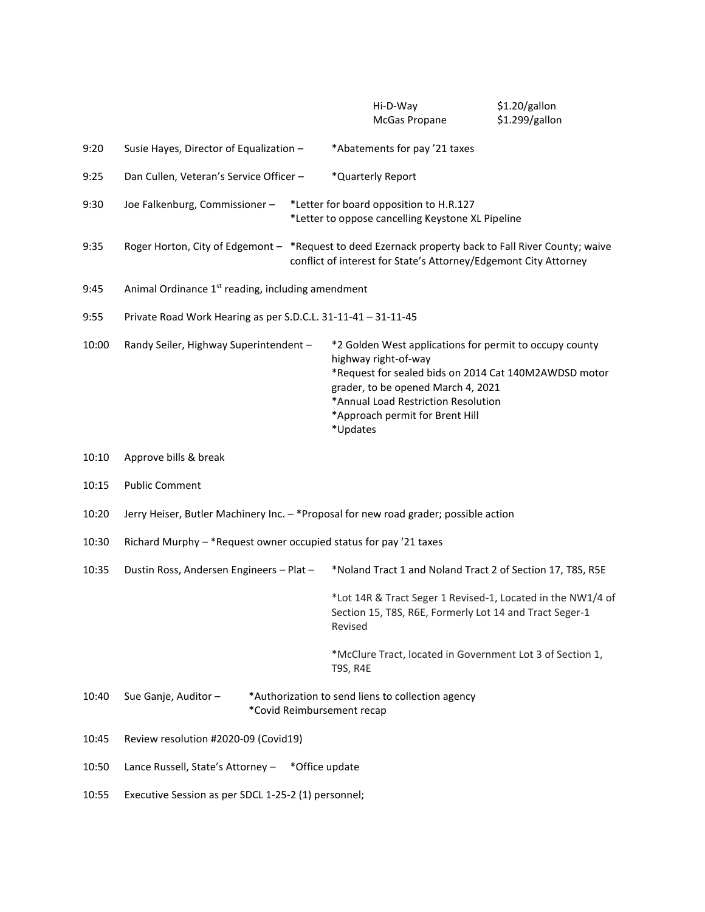|       |                                                                                                                               |  |                                                                                                                                                                                                                                                                      | Hi-D-Way<br>McGas Propane |  | \$1.20/gallon<br>\$1.299/gallon                                                                                        |  |
|-------|-------------------------------------------------------------------------------------------------------------------------------|--|----------------------------------------------------------------------------------------------------------------------------------------------------------------------------------------------------------------------------------------------------------------------|---------------------------|--|------------------------------------------------------------------------------------------------------------------------|--|
| 9:20  | Susie Hayes, Director of Equalization -                                                                                       |  | *Abatements for pay '21 taxes                                                                                                                                                                                                                                        |                           |  |                                                                                                                        |  |
| 9:25  | Dan Cullen, Veteran's Service Officer -                                                                                       |  | *Quarterly Report                                                                                                                                                                                                                                                    |                           |  |                                                                                                                        |  |
| 9:30  | Joe Falkenburg, Commissioner-<br>*Letter for board opposition to H.R.127<br>*Letter to oppose cancelling Keystone XL Pipeline |  |                                                                                                                                                                                                                                                                      |                           |  |                                                                                                                        |  |
| 9:35  |                                                                                                                               |  | Roger Horton, City of Edgemont - *Request to deed Ezernack property back to Fall River County; waive<br>conflict of interest for State's Attorney/Edgemont City Attorney                                                                                             |                           |  |                                                                                                                        |  |
| 9:45  | Animal Ordinance 1 <sup>st</sup> reading, including amendment                                                                 |  |                                                                                                                                                                                                                                                                      |                           |  |                                                                                                                        |  |
| 9:55  | Private Road Work Hearing as per S.D.C.L. 31-11-41 - 31-11-45                                                                 |  |                                                                                                                                                                                                                                                                      |                           |  |                                                                                                                        |  |
| 10:00 | Randy Seiler, Highway Superintendent -                                                                                        |  | *2 Golden West applications for permit to occupy county<br>highway right-of-way<br>*Request for sealed bids on 2014 Cat 140M2AWDSD motor<br>grader, to be opened March 4, 2021<br>*Annual Load Restriction Resolution<br>*Approach permit for Brent Hill<br>*Updates |                           |  |                                                                                                                        |  |
| 10:10 | Approve bills & break                                                                                                         |  |                                                                                                                                                                                                                                                                      |                           |  |                                                                                                                        |  |
| 10:15 | <b>Public Comment</b>                                                                                                         |  |                                                                                                                                                                                                                                                                      |                           |  |                                                                                                                        |  |
| 10:20 | Jerry Heiser, Butler Machinery Inc. - * Proposal for new road grader; possible action                                         |  |                                                                                                                                                                                                                                                                      |                           |  |                                                                                                                        |  |
| 10:30 | Richard Murphy - * Request owner occupied status for pay '21 taxes                                                            |  |                                                                                                                                                                                                                                                                      |                           |  |                                                                                                                        |  |
| 10:35 | Dustin Ross, Andersen Engineers - Plat -                                                                                      |  | *Noland Tract 1 and Noland Tract 2 of Section 17, T8S, R5E                                                                                                                                                                                                           |                           |  |                                                                                                                        |  |
|       |                                                                                                                               |  | Revised                                                                                                                                                                                                                                                              |                           |  | *Lot 14R & Tract Seger 1 Revised-1, Located in the NW1/4 of<br>Section 15, T8S, R6E, Formerly Lot 14 and Tract Seger-1 |  |
|       |                                                                                                                               |  | <b>T9S, R4E</b>                                                                                                                                                                                                                                                      |                           |  | *McClure Tract, located in Government Lot 3 of Section 1,                                                              |  |
| 10:40 | Sue Ganje, Auditor-<br>*Authorization to send liens to collection agency<br>*Covid Reimbursement recap                        |  |                                                                                                                                                                                                                                                                      |                           |  |                                                                                                                        |  |
| 10:45 | Review resolution #2020-09 (Covid19)                                                                                          |  |                                                                                                                                                                                                                                                                      |                           |  |                                                                                                                        |  |
| 10:50 | Lance Russell, State's Attorney -<br>*Office update                                                                           |  |                                                                                                                                                                                                                                                                      |                           |  |                                                                                                                        |  |
| 10:55 | Executive Session as per SDCL 1-25-2 (1) personnel;                                                                           |  |                                                                                                                                                                                                                                                                      |                           |  |                                                                                                                        |  |